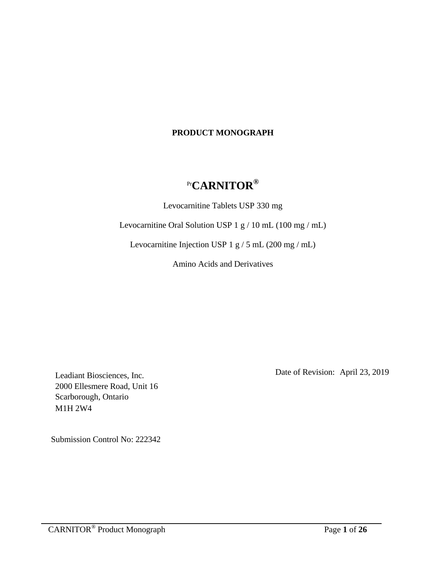# **PRODUCT MONOGRAPH**

# Pr**CARNITOR®**

Levocarnitine Tablets USP 330 mg

Levocarnitine Oral Solution USP 1 g / 10 mL (100 mg / mL)

Levocarnitine Injection USP 1 g / 5 mL (200 mg / mL)

Amino Acids and Derivatives

Leadiant Biosciences, Inc. 2000 Ellesmere Road, Unit 16 Scarborough, Ontario M1H 2W4

Submission Control No: 222342

Date of Revision: April 23, 2019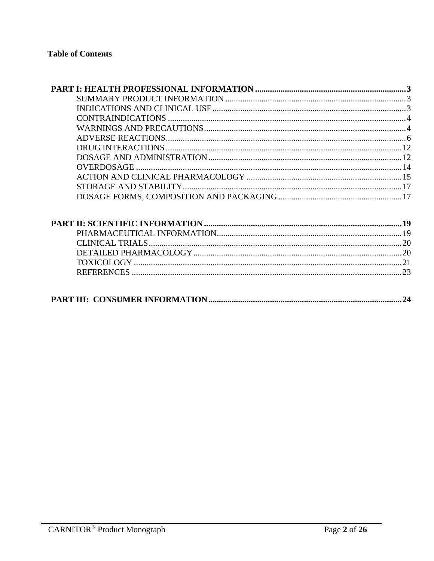|--|--|--|--|--|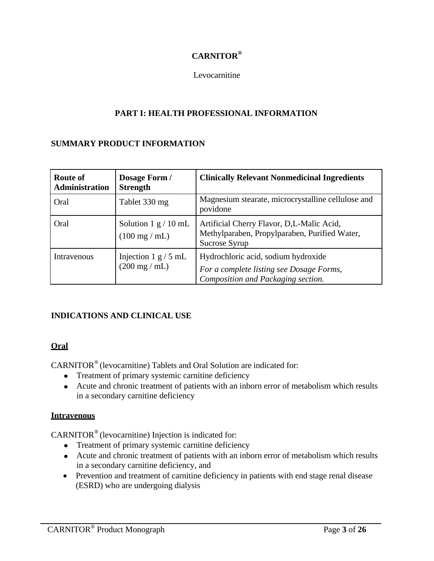# **CARNITOR®**

### Levocarnitine

# **PART I: HEALTH PROFESSIONAL INFORMATION**

## <span id="page-2-1"></span><span id="page-2-0"></span>**SUMMARY PRODUCT INFORMATION**

| <b>Route of</b><br><b>Administration</b> | Dosage Form /<br><b>Strength</b>                         | <b>Clinically Relevant Nonmedicinal Ingredients</b>                                                                   |
|------------------------------------------|----------------------------------------------------------|-----------------------------------------------------------------------------------------------------------------------|
| Oral                                     | Tablet 330 mg                                            | Magnesium stearate, microcrystalline cellulose and<br>povidone                                                        |
| Oral                                     | Solution $1 g / 10 mL$<br>$(100 \text{ mg}/\text{mL})$   | Artificial Cherry Flavor, D,L-Malic Acid,<br>Methylparaben, Propylparaben, Purified Water,<br>Sucrose Syrup           |
| Intravenous                              | Injection $1 g / 5 mL$<br>$(200 \text{ mg} / \text{mL})$ | Hydrochloric acid, sodium hydroxide<br>For a complete listing see Dosage Forms,<br>Composition and Packaging section. |

# <span id="page-2-2"></span>**INDICATIONS AND CLINICAL USE**

# **Oral**

CARNITOR® (levocarnitine) Tablets and Oral Solution are indicated for:

- Treatment of primary systemic carnitine deficiency
- Acute and chronic treatment of patients with an inborn error of metabolism which results in a secondary carnitine deficiency

### **Intravenous**

CARNITOR® (levocarnitine) Injection is indicated for:

- Treatment of primary systemic carnitine deficiency
- Acute and chronic treatment of patients with an inborn error of metabolism which results in a secondary carnitine deficiency, and
- Prevention and treatment of carnitine deficiency in patients with end stage renal disease (ESRD) who are undergoing dialysis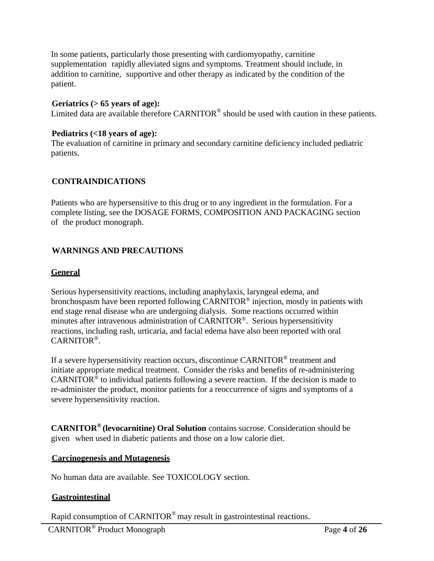In some patients, particularly those presenting with cardiomyopathy, carnitine supplementation rapidly alleviated signs and symptoms. Treatment should include, in addition to carnitine, supportive and other therapy as indicated by the condition of the patient.

#### **Geriatrics (> 65 years of age):**

Limited data are available therefore CARNITOR<sup>®</sup> should be used with caution in these patients.

#### **Pediatrics (<18 years of age):**

The evaluation of carnitine in primary and secondary carnitine deficiency included pediatric patients.

### <span id="page-3-0"></span>**CONTRAINDICATIONS**

Patients who are hypersensitive to this drug or to any ingredient in the formulation. For a complete listing, see the DOSAGE FORMS, COMPOSITION AND PACKAGING section of the product monograph.

### <span id="page-3-1"></span>**WARNINGS AND PRECAUTIONS**

#### **General**

Serious hypersensitivity reactions, including anaphylaxis, laryngeal edema, and bronchospasm have been reported following CARNITOR® injection, mostly in patients with end stage renal disease who are undergoing dialysis. Some reactions occurred within minutes after intravenous administration of CARNITOR®. Serious hypersensitivity reactions, including rash, urticaria, and facial edema have also been reported with oral CARNITOR®.

If a severe hypersensitivity reaction occurs, discontinue CARNITOR<sup>®</sup> treatment and initiate appropriate medical treatment. Consider the risks and benefits of re-administering CARNITOR<sup>®</sup> to individual patients following a severe reaction. If the decision is made to re-administer the product, monitor patients for a reoccurrence of signs and symptoms of a severe hypersensitivity reaction.

**CARNITOR® (levocarnitine) Oral Solution** contains sucrose. Consideration should be given when used in diabetic patients and those on a low calorie diet.

### **Carcinogenesis and Mutagenesis**

No human data are available. See TOXICOLOGY section.

### **Gastrointestinal**

Rapid consumption of CARNITOR® may result in gastrointestinal reactions.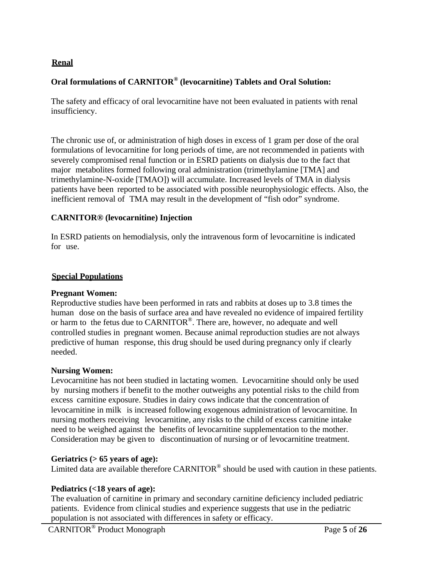# **Renal**

# **Oral formulations of CARNITOR® (levocarnitine) Tablets and Oral Solution:**

The safety and efficacy of oral levocarnitine have not been evaluated in patients with renal insufficiency.

The chronic use of, or administration of high doses in excess of 1 gram per dose of the oral formulations of levocarnitine for long periods of time, are not recommended in patients with severely compromised renal function or in ESRD patients on dialysis due to the fact that major metabolites formed following oral administration (trimethylamine [TMA] and trimethylamine-N-oxide [TMAO]) will accumulate. Increased levels of TMA in dialysis patients have been reported to be associated with possible neurophysiologic effects. Also, the inefficient removal of TMA may result in the development of "fish odor" syndrome.

## **CARNITOR® (levocarnitine) Injection**

In ESRD patients on hemodialysis, only the intravenous form of levocarnitine is indicated for use.

### **Special Populations**

### **Pregnant Women:**

Reproductive studies have been performed in rats and rabbits at doses up to 3.8 times the human dose on the basis of surface area and have revealed no evidence of impaired fertility or harm to the fetus due to CARNITOR®. There are, however, no adequate and well controlled studies in pregnant women. Because animal reproduction studies are not always predictive of human response, this drug should be used during pregnancy only if clearly needed.

### **Nursing Women:**

Levocarnitine has not been studied in lactating women. Levocarnitine should only be used by nursing mothers if benefit to the mother outweighs any potential risks to the child from excess carnitine exposure. Studies in dairy cows indicate that the concentration of levocarnitine in milk is increased following exogenous administration of levocarnitine. In nursing mothers receiving levocarnitine, any risks to the child of excess carnitine intake need to be weighed against the benefits of levocarnitine supplementation to the mother. Consideration may be given to discontinuation of nursing or of levocarnitine treatment.

### **Geriatrics (> 65 years of age):**

Limited data are available therefore CARNITOR<sup>®</sup> should be used with caution in these patients.

# **Pediatrics (<18 years of age):**

The evaluation of carnitine in primary and secondary carnitine deficiency included pediatric patients. Evidence from clinical studies and experience suggests that use in the pediatric population is not associated with differences in safety or efficacy.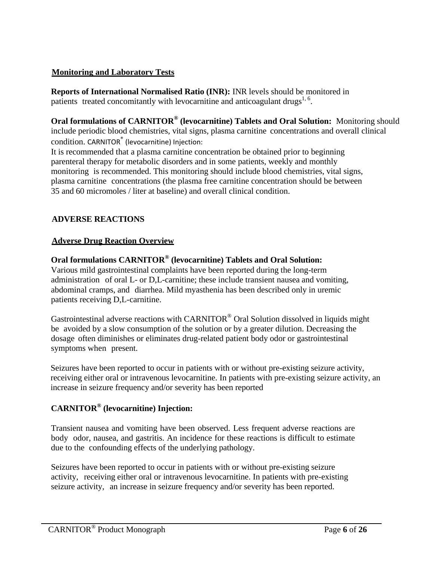# **Monitoring and Laboratory Tests**

**Reports of International Normalised Ratio (INR):** INR levels should be monitored in patients treated concomitantly with levocarnitine and anticoagulant drugs<sup>1, 6</sup>.

# **Oral formulations of CARNITOR® (levocarnitine) Tablets and Oral Solution:** Monitoring should

include periodic blood chemistries, vital signs, plasma carnitine concentrations and overall clinical condition. CARNITOR® (levocarnitine) Injection:

It is recommended that a plasma carnitine concentration be obtained prior to beginning parenteral therapy for metabolic disorders and in some patients, weekly and monthly monitoring is recommended. This monitoring should include blood chemistries, vital signs, plasma carnitine concentrations (the plasma free carnitine concentration should be between 35 and 60 micromoles / liter at baseline) and overall clinical condition.

# <span id="page-5-0"></span>**ADVERSE REACTIONS**

## **Adverse Drug Reaction Overview**

# **Oral formulations CARNITOR® (levocarnitine) Tablets and Oral Solution:**

Various mild gastrointestinal complaints have been reported during the long-term administration of oral L- or D,L-carnitine; these include transient nausea and vomiting, abdominal cramps, and diarrhea. Mild myasthenia has been described only in uremic patients receiving D,L-carnitine.

Gastrointestinal adverse reactions with CARNITOR® Oral Solution dissolved in liquids might be avoided by a slow consumption of the solution or by a greater dilution. Decreasing the dosage often diminishes or eliminates drug-related patient body odor or gastrointestinal symptoms when present.

Seizures have been reported to occur in patients with or without pre-existing seizure activity, receiving either oral or intravenous levocarnitine. In patients with pre-existing seizure activity, an increase in seizure frequency and/or severity has been reported

# **CARNITOR® (levocarnitine) Injection:**

Transient nausea and vomiting have been observed. Less frequent adverse reactions are body odor, nausea, and gastritis. An incidence for these reactions is difficult to estimate due to the confounding effects of the underlying pathology.

Seizures have been reported to occur in patients with or without pre-existing seizure activity, receiving either oral or intravenous levocarnitine. In patients with pre-existing seizure activity, an increase in seizure frequency and/or severity has been reported.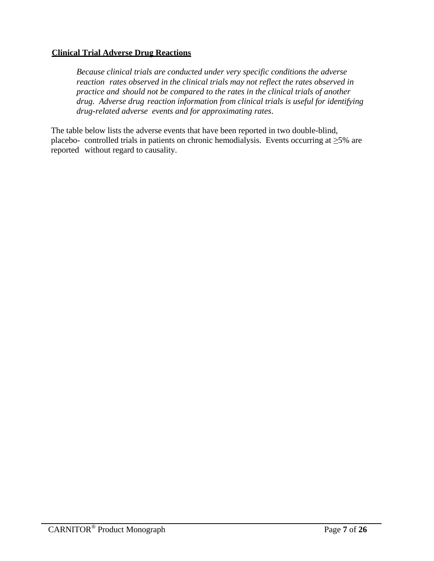## **Clinical Trial Adverse Drug Reactions**

*Because clinical trials are conducted under very specific conditions the adverse reaction rates observed in the clinical trials may not reflect the rates observed in practice and should not be compared to the rates in the clinical trials of another drug. Adverse drug reaction information from clinical trials is useful for identifying drug-related adverse events and for approximating rates*.

The table below lists the adverse events that have been reported in two double-blind, placebo- controlled trials in patients on chronic hemodialysis. Events occurring at  $\geq$ 5% are reported without regard to causality.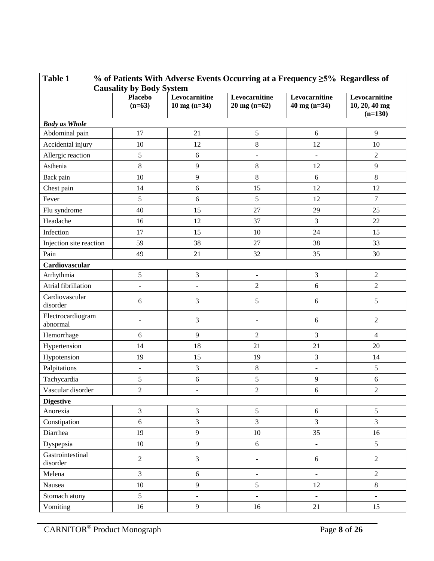| <b>Table 1</b><br>% of Patients With Adverse Events Occurring at a Frequency $\geq$ 5% Regardless of |                                 |                                         |                                         |                                 |                                               |  |
|------------------------------------------------------------------------------------------------------|---------------------------------|-----------------------------------------|-----------------------------------------|---------------------------------|-----------------------------------------------|--|
|                                                                                                      | <b>Causality by Body System</b> |                                         |                                         |                                 |                                               |  |
|                                                                                                      | <b>Placebo</b><br>$(n=63)$      | Levocarnitine<br>$10 \text{ mg} (n=34)$ | Levocarnitine<br>$20 \text{ mg} (n=62)$ | Levocarnitine<br>$40$ mg (n=34) | Levocarnitine<br>$10, 20, 40$ mg<br>$(n=130)$ |  |
| <b>Body as Whole</b>                                                                                 |                                 |                                         |                                         |                                 |                                               |  |
| Abdominal pain                                                                                       | 17                              | 21                                      | $\sqrt{5}$                              | $\sqrt{6}$                      | $\overline{9}$                                |  |
| Accidental injury                                                                                    | 10                              | 12                                      | $\,8\,$                                 | 12                              | 10                                            |  |
| Allergic reaction                                                                                    | $\sqrt{5}$                      | 6                                       | $\blacksquare$                          | $\overline{\phantom{a}}$        | $\overline{2}$                                |  |
| Asthenia                                                                                             | $\,8\,$                         | $\overline{9}$                          | $\,8\,$                                 | 12                              | $\mathbf{9}$                                  |  |
| Back pain                                                                                            | 10                              | 9                                       | $\,8\,$                                 | 6                               | $\,8\,$                                       |  |
| Chest pain                                                                                           | 14                              | 6                                       | 15                                      | 12                              | 12                                            |  |
| Fever                                                                                                | 5                               | 6                                       | 5                                       | 12                              | $\boldsymbol{7}$                              |  |
| Flu syndrome                                                                                         | 40                              | 15                                      | 27                                      | 29                              | 25                                            |  |
| Headache                                                                                             | 16                              | 12                                      | 37                                      | 3                               | 22                                            |  |
| Infection                                                                                            | 17                              | 15                                      | 10                                      | 24                              | 15                                            |  |
| Injection site reaction                                                                              | 59                              | 38                                      | 27                                      | 38                              | 33                                            |  |
| Pain                                                                                                 | 49                              | 21                                      | 32                                      | 35                              | 30                                            |  |
| Cardiovascular                                                                                       |                                 |                                         |                                         |                                 |                                               |  |
| Arrhythmia                                                                                           | $\sqrt{5}$                      | 3                                       | $\overline{\phantom{a}}$                | 3                               | $\overline{2}$                                |  |
| Atrial fibrillation                                                                                  | $\frac{1}{2}$                   | $\overline{a}$                          | $\sqrt{2}$                              | 6                               | $\sqrt{2}$                                    |  |
| Cardiovascular<br>disorder                                                                           | 6                               | 3                                       | $\sqrt{5}$                              | 6                               | 5                                             |  |
| Electrocardiogram<br>abnormal                                                                        | -                               | 3                                       | -                                       | 6                               | $\overline{2}$                                |  |
| Hemorrhage                                                                                           | 6                               | 9                                       | $\overline{2}$                          | 3                               | $\overline{4}$                                |  |
| Hypertension                                                                                         | 14                              | 18                                      | 21                                      | 21                              | 20                                            |  |
| Hypotension                                                                                          | 19                              | 15                                      | 19                                      | 3                               | 14                                            |  |
| Palpitations                                                                                         | ÷,                              | 3                                       | $\,8\,$                                 | $\overline{\phantom{a}}$        | $\sqrt{5}$                                    |  |
| Tachycardia                                                                                          | $\sqrt{5}$                      | 6                                       | $\sqrt{5}$                              | 9                               | $6\,$                                         |  |
| Vascular disorder                                                                                    | $\sqrt{2}$                      |                                         | $\sqrt{2}$                              | 6                               | $\sqrt{2}$                                    |  |
| <b>Digestive</b>                                                                                     |                                 |                                         |                                         |                                 |                                               |  |
| Anorexia                                                                                             | $\overline{3}$                  | 3                                       | $\sqrt{5}$                              | 6                               | 5                                             |  |
| Constipation                                                                                         | $6\,$                           | $\overline{3}$                          | $\overline{3}$                          | $\overline{3}$                  | $\overline{3}$                                |  |
| Diarrhea                                                                                             | 19                              | 9                                       | $10\,$                                  | 35                              | 16                                            |  |
| Dyspepsia                                                                                            | $10\,$                          | 9                                       | $\sqrt{6}$                              | $\blacksquare$                  | $5\overline{)}$                               |  |
| Gastrointestinal<br>disorder                                                                         | $\sqrt{2}$                      | 3                                       | $\overline{a}$                          | $\sqrt{6}$                      | $\overline{2}$                                |  |
| Melena                                                                                               | $\overline{3}$                  | 6                                       | $\blacksquare$                          | $\blacksquare$                  | $\overline{2}$                                |  |
| Nausea                                                                                               | $10\,$                          | 9                                       | $\sqrt{5}$                              | 12                              | $\,8\,$                                       |  |
| Stomach atony                                                                                        | 5                               | $\Box$                                  | $\overline{\phantom{0}}$                | $\blacksquare$                  | $\blacksquare$                                |  |
| Vomiting                                                                                             | 16                              | 9                                       | 16                                      | $21\,$                          | 15                                            |  |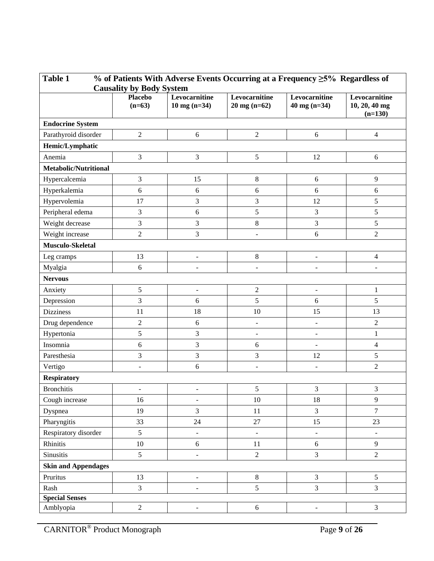| <b>Table 1</b><br>% of Patients With Adverse Events Occurring at a Frequency $\geq$ 5% Regardless of |                                 |                                         |                                 |                                 |                                             |
|------------------------------------------------------------------------------------------------------|---------------------------------|-----------------------------------------|---------------------------------|---------------------------------|---------------------------------------------|
|                                                                                                      | <b>Causality by Body System</b> |                                         |                                 |                                 |                                             |
|                                                                                                      | <b>Placebo</b><br>$(n=63)$      | Levocarnitine<br>$10 \text{ mg} (n=34)$ | Levocarnitine<br>$20$ mg (n=62) | Levocarnitine<br>$40$ mg (n=34) | Levocarnitine<br>10, 20, 40 mg<br>$(n=130)$ |
| <b>Endocrine System</b>                                                                              |                                 |                                         |                                 |                                 |                                             |
| Parathyroid disorder                                                                                 | $\sqrt{2}$                      | 6                                       | $\overline{2}$                  | 6                               | $\overline{4}$                              |
| Hemic/Lymphatic                                                                                      |                                 |                                         |                                 |                                 |                                             |
| Anemia                                                                                               | $\mathfrak{Z}$                  | 3                                       | $\sqrt{5}$                      | 12                              | 6                                           |
| <b>Metabolic/Nutritional</b>                                                                         |                                 |                                         |                                 |                                 |                                             |
| Hypercalcemia                                                                                        | $\mathfrak{Z}$                  | 15                                      | $\,8\,$                         | $\sqrt{6}$                      | $\overline{9}$                              |
| Hyperkalemia                                                                                         | 6                               | $6\,$                                   | 6                               | 6                               | 6                                           |
| Hypervolemia                                                                                         | 17                              | 3                                       | $\mathfrak{Z}$                  | 12                              | $\sqrt{5}$                                  |
| Peripheral edema                                                                                     | $\mathfrak{Z}$                  | 6                                       | 5                               | 3                               | 5                                           |
| Weight decrease                                                                                      | $\mathfrak{Z}$                  | 3                                       | $\bf 8$                         | 3                               | 5                                           |
| Weight increase                                                                                      | $\sqrt{2}$                      | 3                                       | $\frac{1}{2}$                   | 6                               | $\sqrt{2}$                                  |
| Musculo-Skeletal                                                                                     |                                 |                                         |                                 |                                 |                                             |
| Leg cramps                                                                                           | 13                              | $\qquad \qquad \blacksquare$            | $\,8\,$                         | $\overline{a}$                  | $\overline{4}$                              |
| Myalgia                                                                                              | 6                               | $\overline{a}$                          | ÷,                              | ÷,                              | $\frac{1}{2}$                               |
| <b>Nervous</b>                                                                                       |                                 |                                         |                                 |                                 |                                             |
| Anxiety                                                                                              | $\sqrt{5}$                      | $\blacksquare$                          | $\sqrt{2}$                      | $\overline{\phantom{a}}$        | $\mathbf{1}$                                |
| Depression                                                                                           | 3                               | 6                                       | 5                               | 6                               | 5                                           |
| <b>Dizziness</b>                                                                                     | 11                              | 18                                      | 10                              | 15                              | 13                                          |
| Drug dependence                                                                                      | $\sqrt{2}$                      | $\sqrt{6}$                              | $\overline{\phantom{a}}$        | $\blacksquare$                  | $\sqrt{2}$                                  |
| Hypertonia                                                                                           | $\sqrt{5}$                      | 3                                       | $\overline{\phantom{a}}$        | $\overline{a}$                  | $\mathbf{1}$                                |
| Insomnia                                                                                             | $\sqrt{6}$                      | 3                                       | $\sqrt{6}$                      | $\blacksquare$                  | $\overline{4}$                              |
| Paresthesia                                                                                          | 3                               | 3                                       | $\mathfrak{Z}$                  | 12                              | 5                                           |
| Vertigo                                                                                              | $\qquad \qquad \blacksquare$    | $\sqrt{6}$                              | $\qquad \qquad \blacksquare$    | $\blacksquare$                  | $\sqrt{2}$                                  |
| <b>Respiratory</b>                                                                                   |                                 |                                         |                                 |                                 |                                             |
| <b>Bronchitis</b>                                                                                    |                                 |                                         | $\mathfrak{S}$                  | $\mathfrak{Z}$                  | $\mathfrak{Z}$                              |
| Cough increase                                                                                       | 16                              | $\qquad \qquad \blacksquare$            | 10                              | 18                              | 9                                           |
| Dyspnea                                                                                              | 19                              | $\overline{3}$                          | $11\,$                          | $\overline{3}$                  | $\overline{7}$                              |
| Pharyngitis                                                                                          | 33                              | 24                                      | 27                              | 15                              | 23                                          |
| Respiratory disorder                                                                                 | 5                               | $\Box$                                  | $\mathbb{L}$                    | $\blacksquare$                  | $\qquad \qquad \blacksquare$                |
| Rhinitis                                                                                             | $10\,$                          | 6                                       | 11                              | $6\,$                           | 9                                           |
| Sinusitis                                                                                            | 5                               |                                         | $\overline{2}$                  | 3                               | $\overline{2}$                              |
| <b>Skin and Appendages</b>                                                                           |                                 |                                         |                                 |                                 |                                             |
| Pruritus                                                                                             | 13                              | $\Box$                                  | $\,8\,$                         | $\overline{3}$                  | 5                                           |
| Rash                                                                                                 | $\overline{3}$                  |                                         | 5                               | $\overline{3}$                  | $\overline{3}$                              |
| <b>Special Senses</b>                                                                                |                                 |                                         |                                 |                                 |                                             |
| Amblyopia                                                                                            | $\sqrt{2}$                      |                                         | $\sqrt{6}$                      |                                 | $\mathfrak{Z}$                              |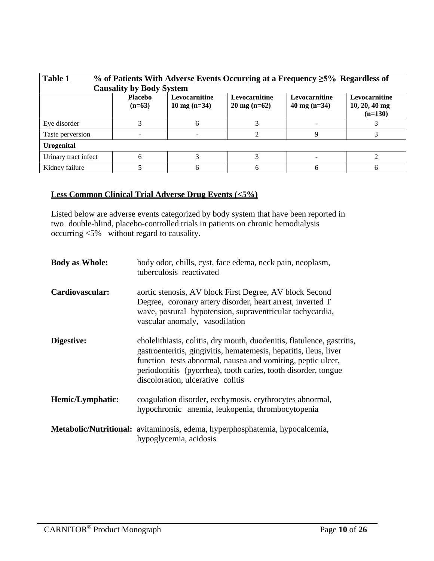| <b>Table 1</b><br>% of Patients With Adverse Events Occurring at a Frequency $\geq$ 5% Regardless of<br><b>Causality by Body System</b> |                                                                                                                                                                                                                                   |   |   |   |   |  |
|-----------------------------------------------------------------------------------------------------------------------------------------|-----------------------------------------------------------------------------------------------------------------------------------------------------------------------------------------------------------------------------------|---|---|---|---|--|
|                                                                                                                                         | <b>Levocarnitine</b><br>Levocarnitine<br><b>Levocarnitine</b><br><b>Levocarnitine</b><br><b>Placebo</b><br>$10, 20, 40$ mg<br>$10 \text{ mg} (n=34)$<br>$20 \text{ mg} (n=62)$<br>$40 \text{ mg}$ (n=34)<br>$(n=63)$<br>$(n=130)$ |   |   |   |   |  |
| Eye disorder                                                                                                                            |                                                                                                                                                                                                                                   | h |   |   |   |  |
| Taste perversion                                                                                                                        |                                                                                                                                                                                                                                   |   |   | Q |   |  |
| <b>Urogenital</b>                                                                                                                       |                                                                                                                                                                                                                                   |   |   |   |   |  |
| Urinary tract infect                                                                                                                    | 6                                                                                                                                                                                                                                 |   |   |   |   |  |
| Kidney failure                                                                                                                          |                                                                                                                                                                                                                                   |   | 6 | 6 | h |  |

## **Less Common Clinical Trial Adverse Drug Events (<5%)**

Listed below are adverse events categorized by body system that have been reported in two double-blind, placebo-controlled trials in patients on chronic hemodialysis occurring <5% without regard to causality.

| <b>Body as Whole:</b> | body odor, chills, cyst, face edema, neck pain, neoplasm,<br>tuberculosis reactivated                                                                                                                                                                                                                             |
|-----------------------|-------------------------------------------------------------------------------------------------------------------------------------------------------------------------------------------------------------------------------------------------------------------------------------------------------------------|
| Cardiovascular:       | aortic stenosis, AV block First Degree, AV block Second<br>Degree, coronary artery disorder, heart arrest, inverted T<br>wave, postural hypotension, supraventricular tachycardia,<br>vascular anomaly, vasodilation                                                                                              |
| Digestive:            | cholelithiasis, colitis, dry mouth, duodenitis, flatulence, gastritis,<br>gastroenteritis, gingivitis, hematemesis, hepatitis, ileus, liver<br>function tests abnormal, nausea and vomiting, peptic ulcer,<br>periodontitis (pyorrhea), tooth caries, tooth disorder, tongue<br>discoloration, ulcerative colitis |
| Hemic/Lymphatic:      | coagulation disorder, ecchymosis, erythrocytes abnormal,<br>hypochromic anemia, leukopenia, thrombocytopenia                                                                                                                                                                                                      |
|                       | Metabolic/Nutritional: avitaminosis, edema, hyperphosphatemia, hypocalcemia,<br>hypoglycemia, acidosis                                                                                                                                                                                                            |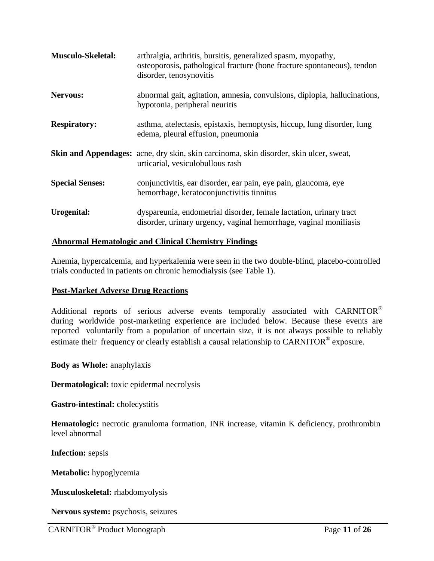| <b>Musculo-Skeletal:</b> | arthralgia, arthritis, bursitis, generalized spasm, myopathy,<br>osteoporosis, pathological fracture (bone fracture spontaneous), tendon<br>disorder, tenosynovitis |
|--------------------------|---------------------------------------------------------------------------------------------------------------------------------------------------------------------|
| <b>Nervous:</b>          | abnormal gait, agitation, amnesia, convulsions, diplopia, hallucinations,<br>hypotonia, peripheral neuritis                                                         |
| <b>Respiratory:</b>      | asthma, at electasis, epistaxis, hemoptysis, hiccup, lung disorder, lung<br>edema, pleural effusion, pneumonia                                                      |
|                          | <b>Skin and Appendages:</b> acne, dry skin, skin carcinoma, skin disorder, skin ulcer, sweat,<br>urticarial, vesiculobullous rash                                   |
| <b>Special Senses:</b>   | conjunctivitis, ear disorder, ear pain, eye pain, glaucoma, eye<br>hemorrhage, keratoconjunctivitis tinnitus                                                        |
| Urogenital:              | dyspareunia, endometrial disorder, female lactation, urinary tract<br>disorder, urinary urgency, vaginal hemorrhage, vaginal moniliasis                             |

### **Abnormal Hematologic and Clinical Chemistry Findings**

Anemia, hypercalcemia, and hyperkalemia were seen in the two double-blind, placebo-controlled trials conducted in patients on chronic hemodialysis (see Table 1).

### **Post-Market Adverse Drug Reactions**

Additional reports of serious adverse events temporally associated with CARNITOR® during worldwide post-marketing experience are included below. Because these events are reported voluntarily from a population of uncertain size, it is not always possible to reliably estimate their frequency or clearly establish a causal relationship to CARNITOR® exposure.

**Body as Whole:** anaphylaxis

**Dermatological:** toxic epidermal necrolysis

**Gastro-intestinal:** cholecystitis

**Hematologic:** necrotic granuloma formation, INR increase, vitamin K deficiency, prothrombin level abnormal

**Infection:** sepsis

**Metabolic:** hypoglycemia

**Musculoskeletal:** rhabdomyolysis

**Nervous system:** psychosis, seizures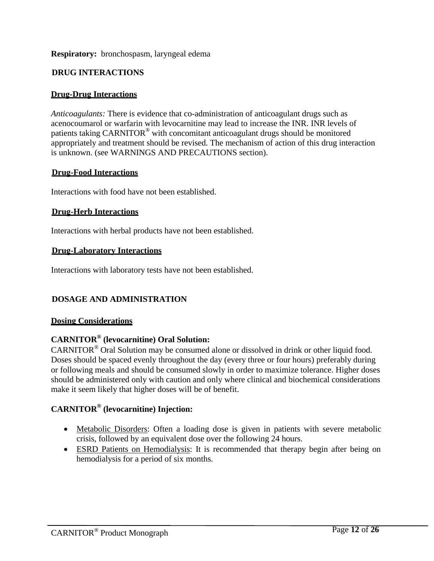### **Respiratory:** bronchospasm, laryngeal edema

### <span id="page-11-0"></span>**DRUG INTERACTIONS**

#### **Drug-Drug Interactions**

*Anticoagulants:* There is evidence that co-administration of anticoagulant drugs such as acenocoumarol or warfarin with levocarnitine may lead to increase the INR. INR levels of patients taking CARNITOR® with concomitant anticoagulant drugs should be monitored appropriately and treatment should be revised. The mechanism of action of this drug interaction is unknown. (see WARNINGS AND PRECAUTIONS section).

#### **Drug-Food Interactions**

Interactions with food have not been established.

#### **Drug-Herb Interactions**

Interactions with herbal products have not been established.

#### **Drug-Laboratory Interactions**

Interactions with laboratory tests have not been established.

### <span id="page-11-1"></span>**DOSAGE AND ADMINISTRATION**

### **Dosing Considerations**

# **CARNITOR® (levocarnitine) Oral Solution:**

CARNITOR® Oral Solution may be consumed alone or dissolved in drink or other liquid food. Doses should be spaced evenly throughout the day (every three or four hours) preferably during or following meals and should be consumed slowly in order to maximize tolerance. Higher doses should be administered only with caution and only where clinical and biochemical considerations make it seem likely that higher doses will be of benefit.

# **CARNITOR® (levocarnitine) Injection:**

- Metabolic Disorders: Often a loading dose is given in patients with severe metabolic crisis, followed by an equivalent dose over the following 24 hours.
- ESRD Patients on Hemodialysis: It is recommended that therapy begin after being on hemodialysis for a period of six months.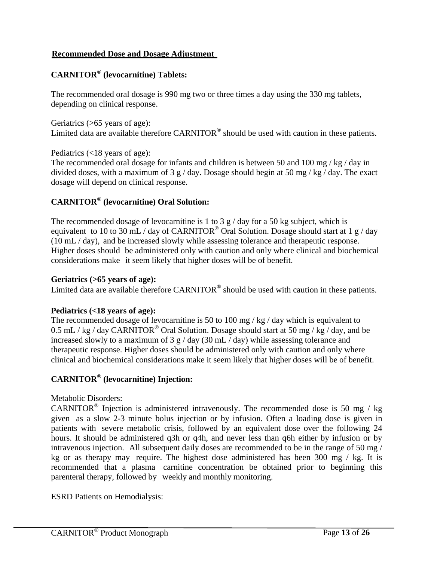## **Recommended Dose and Dosage Adjustment**

# **CARNITOR® (levocarnitine) Tablets:**

The recommended oral dosage is 990 mg two or three times a day using the 330 mg tablets, depending on clinical response.

Geriatrics (>65 years of age): Limited data are available therefore CARNITOR<sup>®</sup> should be used with caution in these patients.

Pediatrics (<18 years of age):

The recommended oral dosage for infants and children is between 50 and 100 mg / kg / day in divided doses, with a maximum of 3 g / day. Dosage should begin at 50 mg / kg / day. The exact dosage will depend on clinical response.

# **CARNITOR® (levocarnitine) Oral Solution:**

The recommended dosage of levocarnitine is 1 to 3 g  $/$  day for a 50 kg subject, which is equivalent to 10 to 30 mL / day of CARNITOR<sup>®</sup> Oral Solution. Dosage should start at 1 g / day (10 mL / day), and be increased slowly while assessing tolerance and therapeutic response. Higher doses should be administered only with caution and only where clinical and biochemical considerations make it seem likely that higher doses will be of benefit.

## **Geriatrics (>65 years of age):**

Limited data are available therefore CARNITOR<sup>®</sup> should be used with caution in these patients.

# **Pediatrics (<18 years of age):**

The recommended dosage of levocarnitine is 50 to 100 mg / kg / day which is equivalent to 0.5 mL / kg / day CARNITOR<sup>®</sup> Oral Solution. Dosage should start at 50 mg / kg / day, and be increased slowly to a maximum of 3 g / day (30 mL / day) while assessing tolerance and therapeutic response. Higher doses should be administered only with caution and only where clinical and biochemical considerations make it seem likely that higher doses will be of benefit.

# **CARNITOR® (levocarnitine) Injection:**

### Metabolic Disorders:

CARNITOR® Injection is administered intravenously. The recommended dose is 50 mg / kg given as a slow 2-3 minute bolus injection or by infusion. Often a loading dose is given in patients with severe metabolic crisis, followed by an equivalent dose over the following 24 hours. It should be administered q3h or q4h, and never less than q6h either by infusion or by intravenous injection. All subsequent daily doses are recommended to be in the range of 50 mg / kg or as therapy may require. The highest dose administered has been 300 mg / kg. It is recommended that a plasma carnitine concentration be obtained prior to beginning this parenteral therapy, followed by weekly and monthly monitoring.

ESRD Patients on Hemodialysis: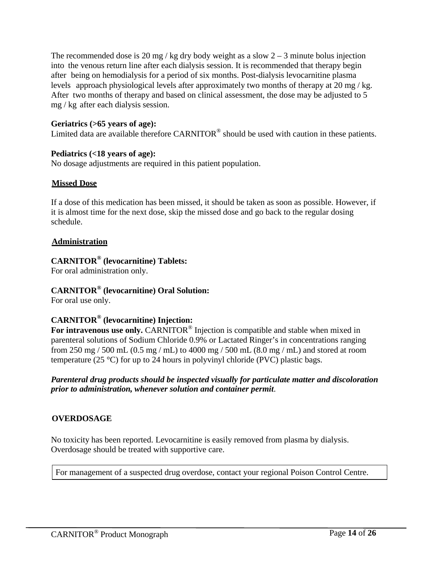The recommended dose is 20 mg / kg dry body weight as a slow  $2 - 3$  minute bolus injection into the venous return line after each dialysis session. It is recommended that therapy begin after being on hemodialysis for a period of six months. Post-dialysis levocarnitine plasma levels approach physiological levels after approximately two months of therapy at 20 mg / kg. After two months of therapy and based on clinical assessment, the dose may be adjusted to 5 mg / kg after each dialysis session.

## **Geriatrics (>65 years of age):**

Limited data are available therefore CARNITOR<sup>®</sup> should be used with caution in these patients.

## **Pediatrics (<18 years of age):**

No dosage adjustments are required in this patient population.

## **Missed Dose**

If a dose of this medication has been missed, it should be taken as soon as possible. However, if it is almost time for the next dose, skip the missed dose and go back to the regular dosing schedule.

## **Administration**

# **CARNITOR® (levocarnitine) Tablets:**

For oral administration only.

# **CARNITOR® (levocarnitine) Oral Solution:**

For oral use only.

# **CARNITOR® (levocarnitine) Injection:**

**For intravenous use only.** CARNITOR® Injection is compatible and stable when mixed in parenteral solutions of Sodium Chloride 0.9% or Lactated Ringer's in concentrations ranging from 250 mg / 500 mL (0.5 mg / mL) to 4000 mg / 500 mL (8.0 mg / mL) and stored at room temperature (25  $\degree$ C) for up to 24 hours in polyvinyl chloride (PVC) plastic bags.

## *Parenteral drug products should be inspected visually for particulate matter and discoloration prior to administration, whenever solution and container permit*.

# <span id="page-13-0"></span>**OVERDOSAGE**

No toxicity has been reported. Levocarnitine is easily removed from plasma by dialysis. Overdosage should be treated with supportive care.

For management of a suspected drug overdose, contact your regional Poison Control Centre.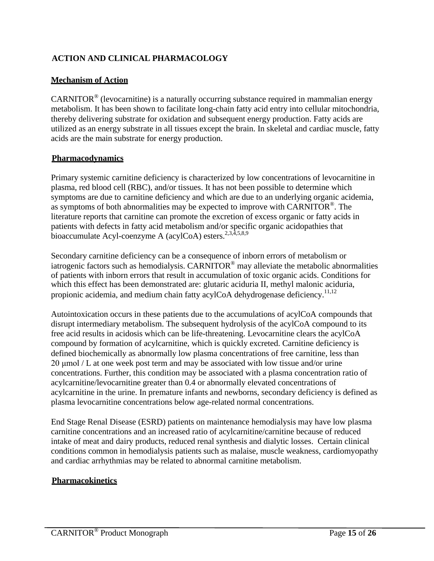# <span id="page-14-0"></span>**ACTION AND CLINICAL PHARMACOLOGY**

## **Mechanism of Action**

CARNITOR® (levocarnitine) is a naturally occurring substance required in mammalian energy metabolism. It has been shown to facilitate long-chain fatty acid entry into cellular mitochondria, thereby delivering substrate for oxidation and subsequent energy production. Fatty acids are utilized as an energy substrate in all tissues except the brain. In skeletal and cardiac muscle, fatty acids are the main substrate for energy production.

## **Pharmacodynamics**

Primary systemic carnitine deficiency is characterized by low concentrations of levocarnitine in plasma, red blood cell (RBC), and/or tissues. It has not been possible to determine which symptoms are due to carnitine deficiency and which are due to an underlying organic acidemia, as symptoms of both abnormalities may be expected to improve with CARNITOR®. The literature reports that carnitine can promote the excretion of excess organic or fatty acids in patients with defects in fatty acid metabolism and/or specific organic acidopathies that bioaccumulate Acyl-coenzyme A (acylCoA) esters.<sup>2,3,4,5,8,9</sup>

Secondary carnitine deficiency can be a consequence of inborn errors of metabolism or iatrogenic factors such as hemodialysis. CARNITOR® may alleviate the metabolic abnormalities of patients with inborn errors that result in accumulation of toxic organic acids. Conditions for which this effect has been demonstrated are: glutaric aciduria II, methyl malonic aciduria, propionic acidemia, and medium chain fatty acylCoA dehydrogenase deficiency.<sup>11,12</sup>

Autointoxication occurs in these patients due to the accumulations of acylCoA compounds that disrupt intermediary metabolism. The subsequent hydrolysis of the acylCoA compound to its free acid results in acidosis which can be life-threatening. Levocarnitine clears the acylCoA compound by formation of acylcarnitine, which is quickly excreted. Carnitine deficiency is defined biochemically as abnormally low plasma concentrations of free carnitine, less than 20 μmol / L at one week post term and may be associated with low tissue and/or urine concentrations. Further, this condition may be associated with a plasma concentration ratio of acylcarnitine/levocarnitine greater than 0.4 or abnormally elevated concentrations of acylcarnitine in the urine. In premature infants and newborns, secondary deficiency is defined as plasma levocarnitine concentrations below age-related normal concentrations.

End Stage Renal Disease (ESRD) patients on maintenance hemodialysis may have low plasma carnitine concentrations and an increased ratio of acylcarnitine/carnitine because of reduced intake of meat and dairy products, reduced renal synthesis and dialytic losses. Certain clinical conditions common in hemodialysis patients such as malaise, muscle weakness, cardiomyopathy and cardiac arrhythmias may be related to abnormal carnitine metabolism.

# **Pharmacokinetics**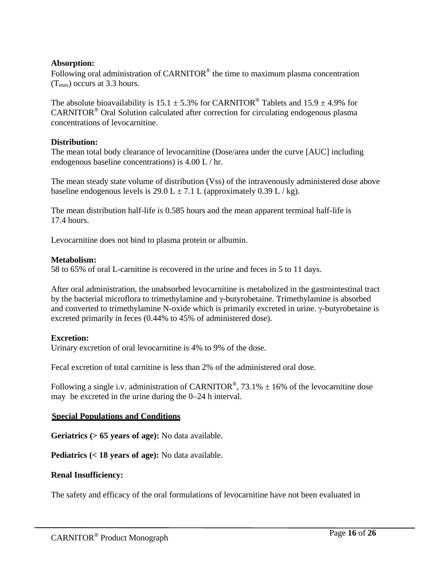### **Absorption:**

Following oral administration of CARNITOR<sup>®</sup> the time to maximum plasma concentration  $(T_{\text{max}})$  occurs at 3.3 hours.

The absolute bioavailability is 15.1  $\pm$  5.3% for CARNITOR<sup>®</sup> Tablets and 15.9  $\pm$  4.9% for CARNITOR® Oral Solution calculated after correction for circulating endogenous plasma concentrations of levocarnitine.

## **Distribution:**

The mean total body clearance of levocarnitine (Dose/area under the curve [AUC] including endogenous baseline concentrations) is 4.00 L / hr.

The mean steady state volume of distribution (Vss) of the intravenously administered dose above baseline endogenous levels is  $29.0 L \pm 7.1 L$  (approximately 0.39 L/kg).

The mean distribution half-life is 0.585 hours and the mean apparent terminal half-life is 17.4 hours.

Levocarnitine does not bind to plasma protein or albumin.

## **Metabolism:**

58 to 65% of oral L-carnitine is recovered in the urine and feces in 5 to 11 days.

After oral administration, the unabsorbed levocarnitine is metabolized in the gastrointestinal tract by the bacterial microflora to trimethylamine and γ-butyrobetaine. Trimethylamine is absorbed and converted to trimethylamine N-oxide which is primarily excreted in urine. γ-butyrobetaine is excreted primarily in feces (0.44% to 45% of administered dose).

# **Excretion:**

Urinary excretion of oral levocarnitine is 4% to 9% of the dose.

Fecal excretion of total carnitine is less than 2% of the administered oral dose.

Following a single i.v. administration of CARNITOR<sup>®</sup>, 73.1%  $\pm$  16% of the levocarnitine dose may be excreted in the urine during the 0–24 h interval.

# **Special Populations and Conditions**

**Geriatrics (> 65 years of age):** No data available.

**Pediatrics (< 18 years of age):** No data available.

# **Renal Insufficiency:**

The safety and efficacy of the oral formulations of levocarnitine have not been evaluated in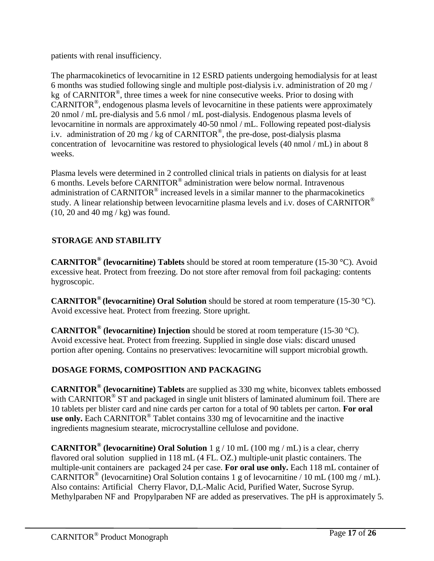patients with renal insufficiency.

The pharmacokinetics of levocarnitine in 12 ESRD patients undergoing hemodialysis for at least 6 months was studied following single and multiple post-dialysis i.v. administration of 20 mg / kg of CARNITOR<sup>®</sup>, three times a week for nine consecutive weeks. Prior to dosing with  $CARNITOR^{\circledcirc}$ , endogenous plasma levels of levocarnitine in these patients were approximately 20 nmol / mL pre-dialysis and 5.6 nmol / mL post-dialysis. Endogenous plasma levels of levocarnitine in normals are approximately 40-50 nmol / mL. Following repeated post-dialysis i.v. administration of 20 mg / kg of CARNITOR®, the pre-dose, post-dialysis plasma concentration of levocarnitine was restored to physiological levels (40 nmol / mL) in about 8 weeks.

Plasma levels were determined in 2 controlled clinical trials in patients on dialysis for at least 6 months. Levels before CARNITOR® administration were below normal. Intravenous administration of CARNITOR® increased levels in a similar manner to the pharmacokinetics study. A linear relationship between levocarnitine plasma levels and i.v. doses of CARNITOR<sup>®</sup>  $(10, 20 \text{ and } 40 \text{ mg}/ \text{kg})$  was found.

# <span id="page-16-0"></span>**STORAGE AND STABILITY**

**CARNITOR® (levocarnitine) Tablets** should be stored at room temperature (15-30 °C). Avoid excessive heat. Protect from freezing. Do not store after removal from foil packaging: contents hygroscopic.

**CARNITOR® (levocarnitine) Oral Solution** should be stored at room temperature (15-30 °C). Avoid excessive heat. Protect from freezing. Store upright.

**CARNITOR® (levocarnitine) Injection** should be stored at room temperature (15-30 °C). Avoid excessive heat. Protect from freezing. Supplied in single dose vials: discard unused portion after opening. Contains no preservatives: levocarnitine will support microbial growth.

# <span id="page-16-1"></span>**DOSAGE FORMS, COMPOSITION AND PACKAGING**

**CARNITOR® (levocarnitine) Tablets** are supplied as 330 mg white, biconvex tablets embossed with CARNITOR<sup>®</sup> ST and packaged in single unit blisters of laminated aluminum foil. There are 10 tablets per blister card and nine cards per carton for a total of 90 tablets per carton. **For oral use only.** Each CARNITOR® Tablet contains 330 mg of levocarnitine and the inactive ingredients magnesium stearate, microcrystalline cellulose and povidone.

**CARNITOR® (levocarnitine) Oral Solution** 1 g / 10 mL (100 mg / mL) is a clear, cherry flavored oral solution supplied in 118 mL (4 FL. OZ.) multiple-unit plastic containers. The multiple-unit containers are packaged 24 per case. **For oral use only.** Each 118 mL container of CARNITOR<sup>®</sup> (levocarnitine) Oral Solution contains 1 g of levocarnitine / 10 mL (100 mg / mL). Also contains: Artificial Cherry Flavor, D,L-Malic Acid, Purified Water, Sucrose Syrup. Methylparaben NF and Propylparaben NF are added as preservatives. The pH is approximately 5.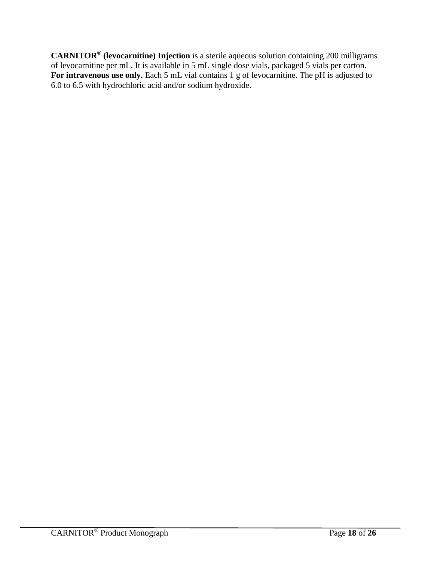**CARNITOR® (levocarnitine) Injection** is a sterile aqueous solution containing 200 milligrams of levocarnitine per mL. It is available in 5 mL single dose vials, packaged 5 vials per carton. **For intravenous use only.** Each 5 mL vial contains 1 g of levocarnitine. The pH is adjusted to 6.0 to 6.5 with hydrochloric acid and/or sodium hydroxide.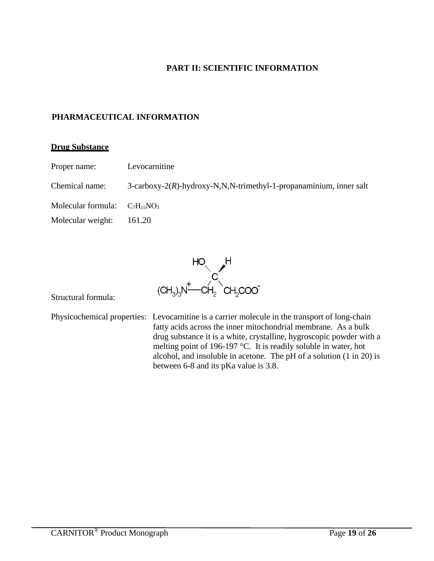### **PART II: SCIENTIFIC INFORMATION**

## <span id="page-18-1"></span><span id="page-18-0"></span>**PHARMACEUTICAL INFORMATION**

#### **Drug Substance**

Proper name: Levocarnitine

Chemical name: 3-carboxy-2(*R*)-hydroxy-N,N,N-trimethyl-1-propanaminium, inner salt

Molecular formula:  $C_7H_{15}NO_3$ 

Molecular weight: 161.20



Structural formula:

Physicochemical properties: Levocarnitine is a carrier molecule in the transport of long-chain fatty acids across the inner mitochondrial membrane. As a bulk drug substance it is a white, crystalline, hygroscopic powder with a melting point of 196-197 °C. It is readily soluble in water, hot alcohol, and insoluble in acetone. The pH of a solution (1 in 20) is between 6-8 and its pKa value is 3.8.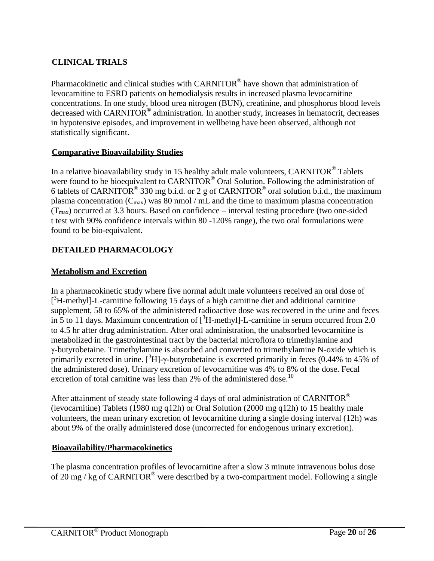# <span id="page-19-0"></span>**CLINICAL TRIALS**

Pharmacokinetic and clinical studies with CARNITOR® have shown that administration of levocarnitine to ESRD patients on hemodialysis results in increased plasma levocarnitine concentrations. In one study, blood urea nitrogen (BUN), creatinine, and phosphorus blood levels decreased with CARNITOR® administration. In another study, increases in hematocrit, decreases in hypotensive episodes, and improvement in wellbeing have been observed, although not statistically significant.

## **Comparative Bioavailability Studies**

In a relative bioavailability study in 15 healthy adult male volunteers, CARNITOR<sup>®</sup> Tablets were found to be bioequivalent to CARNITOR<sup>®</sup> Oral Solution. Following the administration of 6 tablets of CARNITOR<sup>®</sup> 330 mg b.i.d. or 2 g of CARNITOR<sup>®</sup> oral solution b.i.d., the maximum plasma concentration  $(C_{\text{max}})$  was 80 nmol / mL and the time to maximum plasma concentration  $(T_{\text{max}})$  occurred at 3.3 hours. Based on confidence – interval testing procedure (two one-sided t test with 90% confidence intervals within 80 -120% range), the two oral formulations were found to be bio-equivalent.

# <span id="page-19-1"></span>**DETAILED PHARMACOLOGY**

## **Metabolism and Excretion**

In a pharmacokinetic study where five normal adult male volunteers received an oral dose of [<sup>3</sup>H-methyl]-L-carnitine following 15 days of a high carnitine diet and additional carnitine supplement, 58 to 65% of the administered radioactive dose was recovered in the urine and feces in 5 to 11 days. Maximum concentration of  $[^3H$ -methyl]-L-carnitine in serum occurred from 2.0 to 4.5 hr after drug administration. After oral administration, the unabsorbed levocarnitine is metabolized in the gastrointestinal tract by the bacterial microflora to trimethylamine and γ-butyrobetaine. Trimethylamine is absorbed and converted to trimethylamine N-oxide which is primarily excreted in urine.  $[^{3}H]$ -γ-butyrobetaine is excreted primarily in feces (0.44% to 45% of the administered dose). Urinary excretion of levocarnitine was 4% to 8% of the dose. Fecal excretion of total carnitine was less than 2% of the administered dose.<sup>10</sup>

After attainment of steady state following 4 days of oral administration of CARNITOR<sup>®</sup> (levocarnitine) Tablets (1980 mg q12h) or Oral Solution (2000 mg q12h) to 15 healthy male volunteers, the mean urinary excretion of levocarnitine during a single dosing interval (12h) was about 9% of the orally administered dose (uncorrected for endogenous urinary excretion).

### **Bioavailability/Pharmacokinetics**

The plasma concentration profiles of levocarnitine after a slow 3 minute intravenous bolus dose of 20 mg / kg of CARNITOR<sup>®</sup> were described by a two-compartment model. Following a single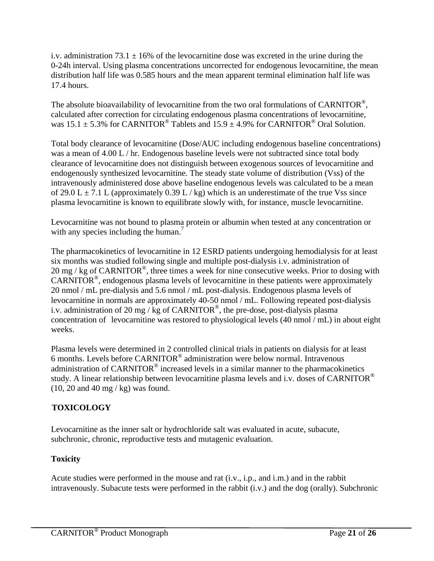i.v. administration 73.1  $\pm$  16% of the levocarnitine dose was excreted in the urine during the 0-24h interval. Using plasma concentrations uncorrected for endogenous levocarnitine, the mean distribution half life was 0.585 hours and the mean apparent terminal elimination half life was 17.4 hours.

The absolute bioavailability of levocarnitine from the two oral formulations of CARNITOR<sup>®</sup>, calculated after correction for circulating endogenous plasma concentrations of levocarnitine, was  $15.1 \pm 5.3\%$  for CARNITOR<sup>®</sup> Tablets and  $15.9 \pm 4.9\%$  for CARNITOR<sup>®</sup> Oral Solution.

Total body clearance of levocarnitine (Dose/AUC including endogenous baseline concentrations) was a mean of 4.00 L / hr. Endogenous baseline levels were not subtracted since total body clearance of levocarnitine does not distinguish between exogenous sources of levocarnitine and endogenously synthesized levocarnitine. The steady state volume of distribution (Vss) of the intravenously administered dose above baseline endogenous levels was calculated to be a mean of 29.0 L  $\pm$  7.1 L (approximately 0.39 L / kg) which is an underestimate of the true Vss since plasma levocarnitine is known to equilibrate slowly with, for instance, muscle levocarnitine.

Levocarnitine was not bound to plasma protein or albumin when tested at any concentration or with any species including the human.<sup>7</sup>

The pharmacokinetics of levocarnitine in 12 ESRD patients undergoing hemodialysis for at least six months was studied following single and multiple post-dialysis i.v. administration of 20 mg / kg of CARNITOR<sup>®</sup>, three times a week for nine consecutive weeks. Prior to dosing with  $CARNITOR^{\circledcirc}$ , endogenous plasma levels of levocarnitine in these patients were approximately 20 nmol / mL pre-dialysis and 5.6 nmol / mL post-dialysis. Endogenous plasma levels of levocarnitine in normals are approximately 40-50 nmol / mL. Following repeated post-dialysis i.v. administration of 20 mg / kg of CARNITOR<sup>®</sup>, the pre-dose, post-dialysis plasma concentration of levocarnitine was restored to physiological levels (40 nmol / mL) in about eight weeks.

Plasma levels were determined in 2 controlled clinical trials in patients on dialysis for at least 6 months. Levels before CARNITOR® administration were below normal. Intravenous administration of CARNITOR® increased levels in a similar manner to the pharmacokinetics study. A linear relationship between levocarnitine plasma levels and i.v. doses of CARNITOR<sup>®</sup>  $(10, 20 \text{ and } 40 \text{ mg} / \text{kg})$  was found.

# <span id="page-20-0"></span>**TOXICOLOGY**

Levocarnitine as the inner salt or hydrochloride salt was evaluated in acute, subacute, subchronic, chronic, reproductive tests and mutagenic evaluation.

# **Toxicity**

Acute studies were performed in the mouse and rat (i.v., i.p., and i.m.) and in the rabbit intravenously. Subacute tests were performed in the rabbit (i.v.) and the dog (orally). Subchronic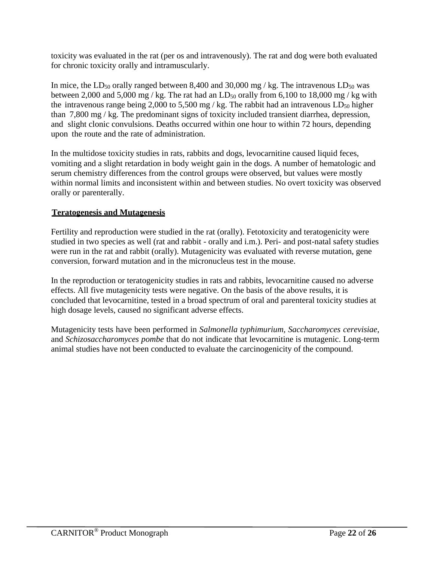toxicity was evaluated in the rat (per os and intravenously). The rat and dog were both evaluated for chronic toxicity orally and intramuscularly.

In mice, the  $LD_{50}$  orally ranged between 8,400 and 30,000 mg / kg. The intravenous  $LD_{50}$  was between 2,000 and 5,000 mg / kg. The rat had an  $LD_{50}$  orally from 6,100 to 18,000 mg / kg with the intravenous range being 2,000 to 5,500 mg / kg. The rabbit had an intravenous  $LD_{50}$  higher than 7,800 mg / kg. The predominant signs of toxicity included transient diarrhea, depression, and slight clonic convulsions. Deaths occurred within one hour to within 72 hours, depending upon the route and the rate of administration.

In the multidose toxicity studies in rats, rabbits and dogs, levocarnitine caused liquid feces, vomiting and a slight retardation in body weight gain in the dogs. A number of hematologic and serum chemistry differences from the control groups were observed, but values were mostly within normal limits and inconsistent within and between studies. No overt toxicity was observed orally or parenterally.

# **Teratogenesis and Mutagenesis**

Fertility and reproduction were studied in the rat (orally). Fetotoxicity and teratogenicity were studied in two species as well (rat and rabbit - orally and i.m.). Peri- and post-natal safety studies were run in the rat and rabbit (orally). Mutagenicity was evaluated with reverse mutation, gene conversion, forward mutation and in the micronucleus test in the mouse.

In the reproduction or teratogenicity studies in rats and rabbits, levocarnitine caused no adverse effects. All five mutagenicity tests were negative. On the basis of the above results, it is concluded that levocarnitine, tested in a broad spectrum of oral and parenteral toxicity studies at high dosage levels, caused no significant adverse effects.

Mutagenicity tests have been performed in *Salmonella typhimurium, Saccharomyces cerevisiae*, and *Schizosaccharomyces pombe* that do not indicate that levocarnitine is mutagenic. Long-term animal studies have not been conducted to evaluate the carcinogenicity of the compound.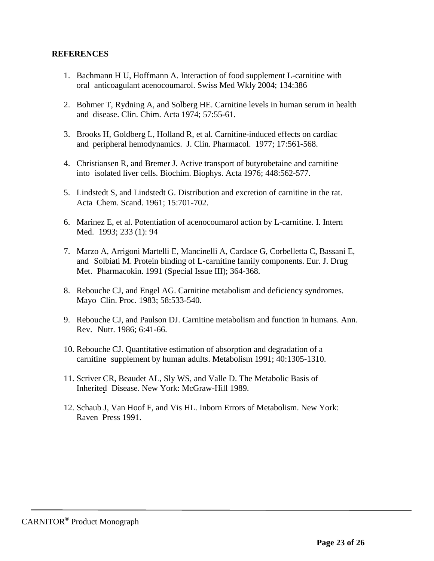#### <span id="page-22-0"></span>**REFERENCES**

- 1. Bachmann H U, Hoffmann A. Interaction of food supplement L-carnitine with oral anticoagulant acenocoumarol. Swiss Med Wkly 2004; 134:386
- 2. Bohmer T, Rydning A, and Solberg HE. Carnitine levels in human serum in health and disease. Clin. Chim. Acta 1974; 57:55-61.
- 3. Brooks H, Goldberg L, Holland R, et al. Carnitine-induced effects on cardiac and peripheral hemodynamics. J. Clin. Pharmacol. 1977; 17:561-568.
- 4. Christiansen R, and Bremer J. Active transport of butyrobetaine and carnitine into isolated liver cells. Biochim. Biophys. Acta 1976; 448:562-577.
- 5. Lindstedt S, and Lindstedt G. Distribution and excretion of carnitine in the rat. Acta Chem. Scand. 1961; 15:701-702.
- 6. Marinez E, et al. Potentiation of acenocoumarol action by L-carnitine. I. Intern Med. 1993; 233 (1): 94
- 7. Marzo A, Arrigoni Martelli E, Mancinelli A, Cardace G, Corbelletta C, Bassani E, and Solbiati M. Protein binding of L-carnitine family components. Eur. J. Drug Met. Pharmacokin. 1991 (Special Issue III); 364-368.
- 8. Rebouche CJ, and Engel AG. Carnitine metabolism and deficiency syndromes. Mayo Clin. Proc. 1983; 58:533-540.
- 9. Rebouche CJ, and Paulson DJ. Carnitine metabolism and function in humans. Ann. Rev. Nutr. 1986; 6:41-66.
- 10. Rebouche CJ. Quantitative estimation of absorption and degradation of a carnitine supplement by human adults. Metabolism 1991; 40:1305-1310.
- 11. Scriver CR, Beaudet AL, Sly WS, and Valle D. The Metabolic Basis of Inherited Disease. New York: McGraw-Hill 1989.
- 12. Schaub J, Van Hoof F, and Vis HL. Inborn Errors of Metabolism. New York: Raven Press 1991.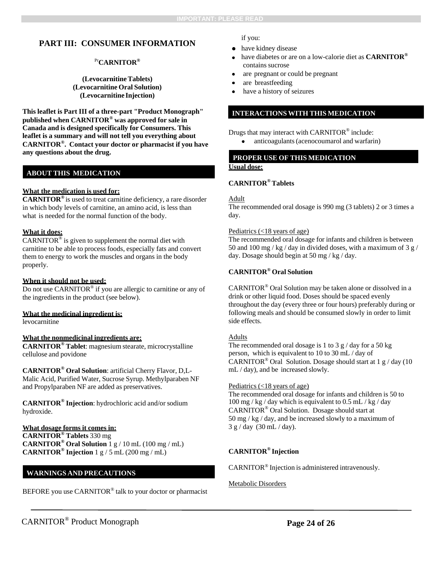## <span id="page-23-0"></span>**PART III: CONSUMER INFORMATION**

#### Pr**CARNITOR®**

#### **(LevocarnitineTablets) (Levocarnitine Oral Solution) (Levocarnitine Injection)**

**This leaflet is Part III of a three-part "Product Monograph" published when CARNITOR® was approved for sale in Canada and is designed specifically for Consumers. This leaflet is a summary and will not tell you everything about CARNITOR®. Contact your doctor or pharmacist if you have any questions about the drug.**

#### **ABOUT THIS MEDICATION**

#### **What the medication is used for:**

**CARNITOR®** is used to treat carnitine deficiency, a rare disorder in which body levels of carnitine, an amino acid, is less than what is needed for the normal function of the body.

#### **What it does:**

CARNITOR<sup>®</sup> is given to supplement the normal diet with carnitine to be able to process foods, especially fats and convert them to energy to work the muscles and organs in the body properly.

#### **When it should not be used:**

Do not use CARNITOR<sup>®</sup> if you are allergic to carnitine or any of the ingredients in the product (see below).

#### **What the medicinal ingredient is:**

levocarnitine

#### **What the nonmedicinal ingredients are:**

**CARNITOR® Tablet**: magnesium stearate, microcrystalline cellulose and povidone

**CARNITOR® Oral Solution**: artificial Cherry Flavor, D,L-Malic Acid, Purified Water, Sucrose Syrup. Methylparaben NF and Propylparaben NF are added as preservatives.

**CARNITOR® Injection**: hydrochloric acid and/or sodium hydroxide.

#### **What dosage forms it comes in:**

**CARNITOR® Tablets** 330 mg **CARNITOR® Oral Solution** 1 g / 10 mL (100 mg / mL) **CARNITOR**<sup>®</sup> **Injection** 1 g / 5 mL (200 mg / mL)

#### **WARNINGS AND PRECAUTIONS**

BEFORE you use CARNITOR® talk to your doctor or pharmacist

if you:

- have kidney disease
- have diabetes or are on a low-calorie diet as **CARNITOR®** contains sucrose
- are pregnant or could be pregnant
- are breastfeeding
- have a history of seizures

#### **INTERACTIONS WITH THIS MEDICATION**

Drugs that may interact with CARNITOR® include:

anticoagulants(acenocoumarol and warfarin)

#### **PROPER USE OF THIS MEDICATION**

#### **Usual dose:**

#### **CARNITOR® Tablets**

#### Adult

The recommended oral dosage is 990 mg (3 tablets) 2 or 3 times a day.

#### Pediatrics (<18 years of age)

The recommended oral dosage for infants and children is between 50 and 100 mg / kg / day in divided doses, with a maximum of 3 g / day. Dosage should begin at 50 mg / kg / day.

#### **CARNITOR® Oral Solution**

CARNITOR® Oral Solution may be taken alone or dissolved in a drink or other liquid food. Doses should be spaced evenly throughout the day (every three or four hours) preferably during or following meals and should be consumed slowly in order to limit side effects.

#### Adults

The recommended oral dosage is 1 to 3 g  $/$  day for a 50 kg person, which is equivalent to 10 to 30 mL / day of CARNITOR<sup>®</sup> Oral Solution. Dosage should start at  $1 g / day (10$ mL / day), and be increased slowly.

#### Pediatrics (<18 years of age)

The recommended oral dosage for infants and children is 50 to 100 mg / kg / day which is equivalent to  $0.5$  mL / kg / day CARNITOR® Oral Solution. Dosage should start at 50 mg / kg / day, and be increased slowly to a maximum of  $3 g / day (30 mL / day).$ 

#### **CARNITOR® Injection**

CARNITOR® Injection is administered intravenously.

#### Metabolic Disorders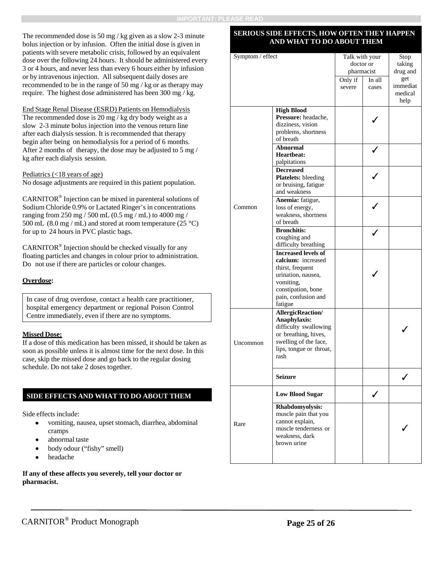The recommended dose is 50 mg / kg given as a slow 2-3 minute bolus injection or by infusion. Often the initial dose is given in patients with severe metabolic crisis, followed by an equivalent dose over the following 24 hours. It should be administered every 3 or 4 hours, and never less than every 6 hours either by infusion or by intravenous injection. All subsequent daily doses are recommended to be in the range of 50 mg / kg or as therapy may require. The highest dose administered has been 300 mg / kg.

End Stage Renal Disease (ESRD) Patients on Hemodialysis The recommended dose is 20 mg / kg dry body weight as a slow 2-3 minute bolus injection into the venous return line after each dialysis session. It is recommended that therapy begin after being on hemodialysis for a period of 6 months. After 2 months of therapy, the dose may be adjusted to 5 mg / kg after each dialysis session.

#### Pediatrics (<18 years of age)

No dosage adjustments are required in this patient population.

CARNITOR® Injection can be mixed in parenteral solutions of Sodium Chloride 0.9% or Lactated Ringer's in concentrations ranging from 250 mg / 500 mL (0.5 mg / mL) to 4000 mg / 500 mL  $(8.0 \text{ mg/mL})$  and stored at room temperature  $(25 \text{ °C})$ for up to 24 hours in PVC plastic bags.

 $CARNITOR^{\circledcirc}$  Injection should be checked visually for any floating particles and changes in colour prior to administration. Do not use if there are particles or colour changes.

#### **Overdose:**

In case of drug overdose, contact a health care practitioner, hospital emergency department or regional Poison Control Centre immediately, even if there are no symptoms.

#### **Missed Dose:**

If a dose of this medication has been missed, it should be taken as soon as possible unless it is almost time for the next dose. In this case, skip the missed dose and go back to the regular dosing schedule. Do not take 2 doses together.

#### **SIDE EFFECTS AND WHAT TO DO ABOUT THEM**

Side effects include:

- vomiting, nausea, upset stomach, diarrhea, abdominal cramps
- abnormal taste
- body odour ("fishy" smell)
- headache

**If any of these affects you severely, tell your doctor or pharmacist.**

#### **SERIOUS SIDE EFFECTS, HOW OFTEN THEY HAPPEN AND WHAT TO DO ABOUT THEM**

| Symptom / effect |                            | Talk with your |        | Stop     |
|------------------|----------------------------|----------------|--------|----------|
|                  |                            | doctor or      |        | taking   |
|                  |                            | pharmacist     |        | drug and |
|                  |                            | Only if        | In all | get      |
|                  |                            | severe         | cases  | immediat |
|                  |                            |                |        | medical  |
|                  |                            |                |        | help     |
|                  | <b>High Blood</b>          |                |        |          |
|                  | Pressure: headache,        |                |        |          |
|                  | dizziness, vision          |                |        |          |
|                  | problems, shortness        |                |        |          |
|                  | of breath                  |                |        |          |
|                  | <b>Abnormal</b>            |                |        |          |
|                  | Heartbeat:                 |                |        |          |
|                  | palpitations               |                |        |          |
|                  | <b>Decreased</b>           |                |        |          |
|                  | <b>Platelets:</b> bleeding |                |        |          |
|                  | or bruising, fatigue       |                |        |          |
|                  | and weakness               |                |        |          |
|                  | Anemia: fatigue,           |                |        |          |
| Common           | loss of energy,            |                |        |          |
|                  | weakness, shortness        |                |        |          |
|                  | of breath                  |                |        |          |
|                  | <b>Bronchitis:</b>         |                |        |          |
|                  | coughing and               |                |        |          |
|                  | difficulty breathing       |                |        |          |
|                  | <b>Increased levels of</b> |                |        |          |
|                  | calcium: increased         |                |        |          |
|                  | thirst, frequent           |                |        |          |
|                  | urination, nausea,         |                |        |          |
|                  | vomiting,                  |                |        |          |
|                  | constipation, bone         |                |        |          |
|                  | pain, confusion and        |                |        |          |
|                  | fatigue                    |                |        |          |
|                  | AllergicReaction/          |                |        |          |
|                  | Anaphylaxis:               |                |        |          |
|                  | difficulty swallowing      |                |        |          |
|                  | or breathing, hives,       |                |        |          |
| Uncommon         | swelling of the face,      |                |        |          |
|                  | lips, tongue or throat,    |                |        |          |
|                  | rash                       |                |        |          |
|                  |                            |                |        |          |
|                  | <b>Seizure</b>             |                |        |          |
|                  |                            |                |        |          |
|                  | <b>Low Blood Sugar</b>     |                | ✓      |          |
|                  | Rhabdomyolysis:            |                |        |          |
|                  | muscle pain that you       |                |        |          |
| Rare             | cannot explain,            |                |        |          |
|                  | muscle tenderness or       |                |        |          |
|                  | weakness, dark             |                |        |          |
|                  | brown urine                |                |        |          |
|                  |                            |                |        |          |